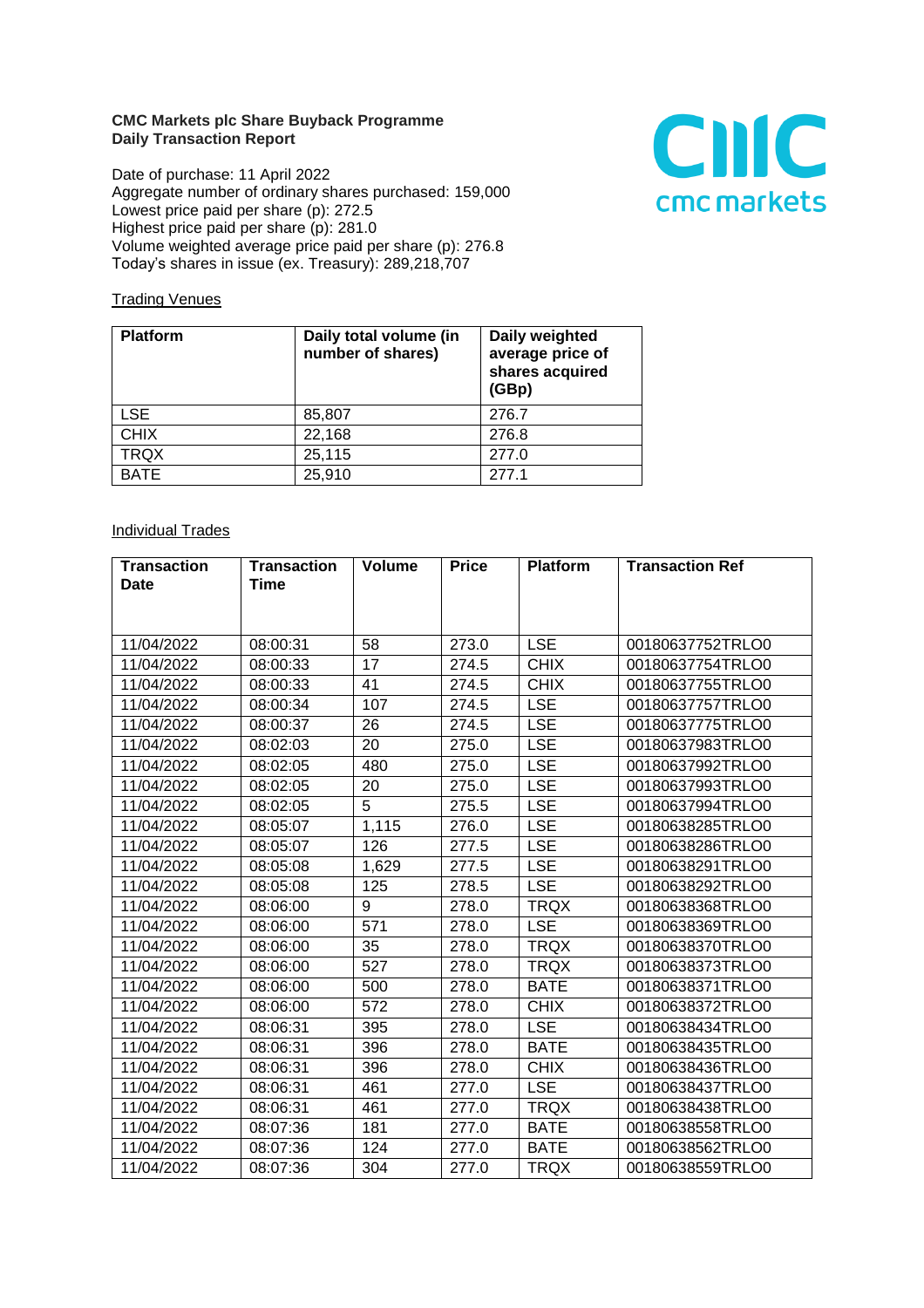## **CMC Markets plc Share Buyback Programme Daily Transaction Report**

Date of purchase: 11 April 2022 Aggregate number of ordinary shares purchased: 159,000 Lowest price paid per share (p): 272.5 Highest price paid per share (p): 281.0 Volume weighted average price paid per share (p): 276.8 Today's shares in issue (ex. Treasury): 289,218,707



## **Trading Venues**

| <b>Platform</b> | Daily total volume (in<br>number of shares) | Daily weighted<br>average price of<br>shares acquired<br>(GBp) |
|-----------------|---------------------------------------------|----------------------------------------------------------------|
| <b>LSE</b>      | 85,807                                      | 276.7                                                          |
| <b>CHIX</b>     | 22,168                                      | 276.8                                                          |
| <b>TRQX</b>     | 25,115                                      | 277.0                                                          |
| <b>BATE</b>     | 25,910                                      | 2771                                                           |

## **Individual Trades**

| <b>Transaction</b> | <b>Transaction</b> | <b>Volume</b> | <b>Price</b> | <b>Platform</b> | <b>Transaction Ref</b> |
|--------------------|--------------------|---------------|--------------|-----------------|------------------------|
| <b>Date</b>        | Time               |               |              |                 |                        |
|                    |                    |               |              |                 |                        |
|                    |                    |               |              |                 |                        |
| 11/04/2022         | 08:00:31           | 58            | 273.0        | <b>LSE</b>      | 00180637752TRLO0       |
| 11/04/2022         | 08:00:33           | 17            | 274.5        | <b>CHIX</b>     | 00180637754TRLO0       |
| 11/04/2022         | 08:00:33           | 41            | 274.5        | <b>CHIX</b>     | 00180637755TRLO0       |
| 11/04/2022         | 08:00:34           | 107           | 274.5        | <b>LSE</b>      | 00180637757TRLO0       |
| 11/04/2022         | 08:00:37           | 26            | 274.5        | <b>LSE</b>      | 00180637775TRLO0       |
| 11/04/2022         | 08:02:03           | 20            | 275.0        | <b>LSE</b>      | 00180637983TRLO0       |
| 11/04/2022         | 08:02:05           | 480           | 275.0        | <b>LSE</b>      | 00180637992TRLO0       |
| 11/04/2022         | 08:02:05           | 20            | 275.0        | <b>LSE</b>      | 00180637993TRLO0       |
| 11/04/2022         | 08:02:05           | 5             | 275.5        | <b>LSE</b>      | 00180637994TRLO0       |
| 11/04/2022         | 08:05:07           | 1,115         | 276.0        | <b>LSE</b>      | 00180638285TRLO0       |
| 11/04/2022         | 08:05:07           | 126           | 277.5        | <b>LSE</b>      | 00180638286TRLO0       |
| 11/04/2022         | 08:05:08           | 1,629         | 277.5        | <b>LSE</b>      | 00180638291TRLO0       |
| 11/04/2022         | 08:05:08           | 125           | 278.5        | <b>LSE</b>      | 00180638292TRLO0       |
| 11/04/2022         | 08:06:00           | 9             | 278.0        | <b>TRQX</b>     | 00180638368TRLO0       |
| 11/04/2022         | 08:06:00           | 571           | 278.0        | <b>LSE</b>      | 00180638369TRLO0       |
| 11/04/2022         | 08:06:00           | 35            | 278.0        | <b>TRQX</b>     | 00180638370TRLO0       |
| 11/04/2022         | 08:06:00           | 527           | 278.0        | <b>TRQX</b>     | 00180638373TRLO0       |
| 11/04/2022         | 08:06:00           | 500           | 278.0        | <b>BATE</b>     | 00180638371TRLO0       |
| 11/04/2022         | 08:06:00           | 572           | 278.0        | <b>CHIX</b>     | 00180638372TRLO0       |
| 11/04/2022         | 08:06:31           | 395           | 278.0        | <b>LSE</b>      | 00180638434TRLO0       |
| 11/04/2022         | 08:06:31           | 396           | 278.0        | <b>BATE</b>     | 00180638435TRLO0       |
| 11/04/2022         | 08:06:31           | 396           | 278.0        | <b>CHIX</b>     | 00180638436TRLO0       |
| 11/04/2022         | 08:06:31           | 461           | 277.0        | <b>LSE</b>      | 00180638437TRLO0       |
| 11/04/2022         | 08:06:31           | 461           | 277.0        | <b>TRQX</b>     | 00180638438TRLO0       |
| 11/04/2022         | 08:07:36           | 181           | 277.0        | <b>BATE</b>     | 00180638558TRLO0       |
| 11/04/2022         | 08:07:36           | 124           | 277.0        | <b>BATE</b>     | 00180638562TRLO0       |
| 11/04/2022         | 08:07:36           | 304           | 277.0        | <b>TRQX</b>     | 00180638559TRLO0       |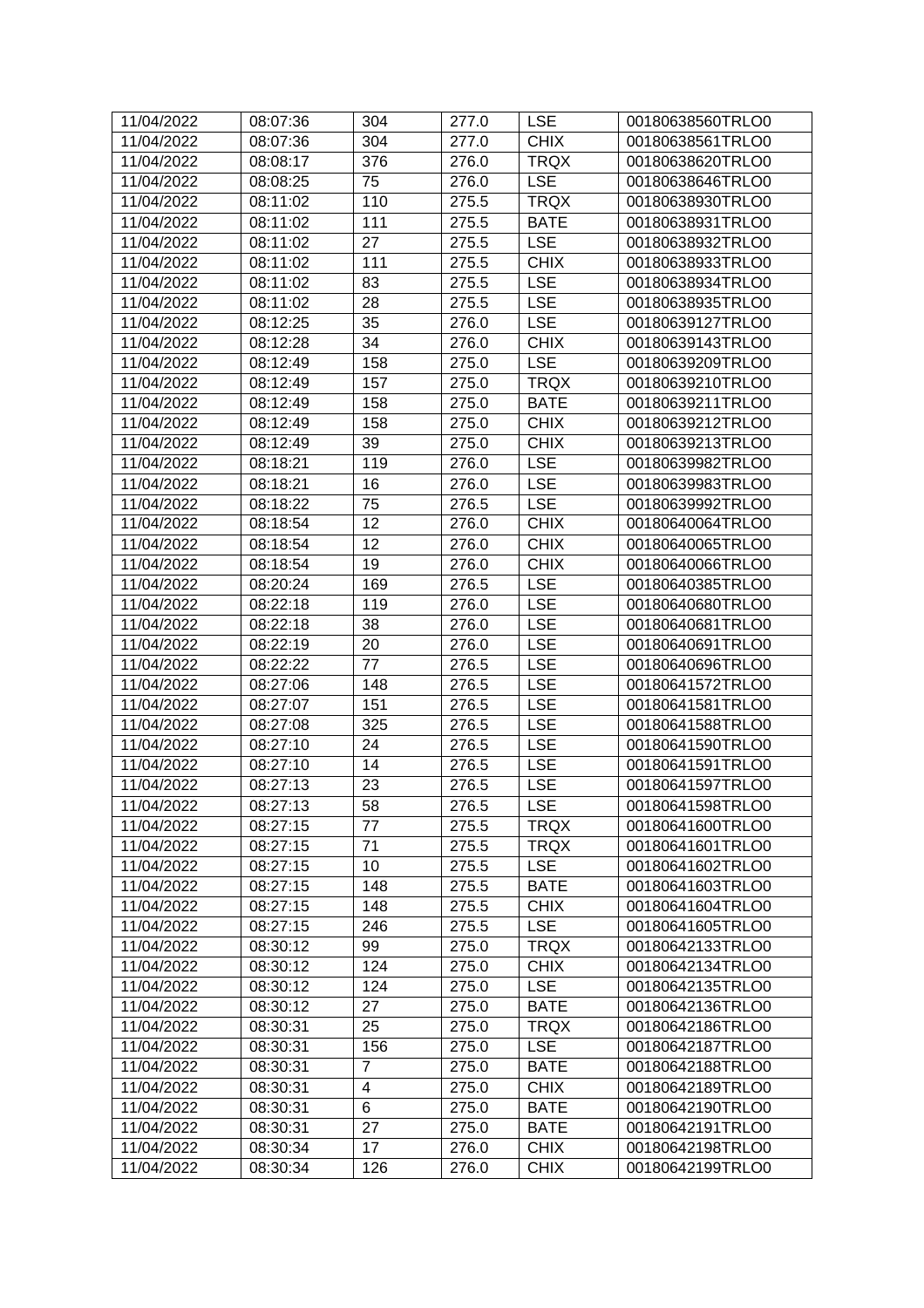| 11/04/2022 | 08:07:36 | 304            | 277.0 | <b>LSE</b>  | 00180638560TRLO0 |
|------------|----------|----------------|-------|-------------|------------------|
| 11/04/2022 | 08:07:36 | 304            | 277.0 | <b>CHIX</b> | 00180638561TRLO0 |
| 11/04/2022 | 08:08:17 | 376            | 276.0 | <b>TRQX</b> | 00180638620TRLO0 |
| 11/04/2022 | 08:08:25 | 75             | 276.0 | <b>LSE</b>  | 00180638646TRLO0 |
| 11/04/2022 | 08:11:02 | 110            | 275.5 | <b>TRQX</b> | 00180638930TRLO0 |
| 11/04/2022 | 08:11:02 | 111            | 275.5 | <b>BATE</b> | 00180638931TRLO0 |
| 11/04/2022 | 08:11:02 | 27             | 275.5 | <b>LSE</b>  | 00180638932TRLO0 |
| 11/04/2022 | 08:11:02 | 111            | 275.5 | <b>CHIX</b> | 00180638933TRLO0 |
| 11/04/2022 | 08:11:02 | 83             | 275.5 | <b>LSE</b>  | 00180638934TRLO0 |
| 11/04/2022 | 08:11:02 | 28             | 275.5 | <b>LSE</b>  | 00180638935TRLO0 |
| 11/04/2022 | 08:12:25 | 35             | 276.0 | <b>LSE</b>  | 00180639127TRLO0 |
| 11/04/2022 | 08:12:28 | 34             | 276.0 | <b>CHIX</b> | 00180639143TRLO0 |
| 11/04/2022 | 08:12:49 | 158            | 275.0 | <b>LSE</b>  | 00180639209TRLO0 |
| 11/04/2022 | 08:12:49 | 157            | 275.0 | <b>TRQX</b> | 00180639210TRLO0 |
| 11/04/2022 | 08:12:49 | 158            | 275.0 | <b>BATE</b> | 00180639211TRLO0 |
| 11/04/2022 | 08:12:49 | 158            | 275.0 | <b>CHIX</b> | 00180639212TRLO0 |
| 11/04/2022 | 08:12:49 | 39             | 275.0 | <b>CHIX</b> | 00180639213TRLO0 |
| 11/04/2022 | 08:18:21 | 119            | 276.0 | <b>LSE</b>  | 00180639982TRLO0 |
| 11/04/2022 | 08:18:21 | 16             | 276.0 | <b>LSE</b>  | 00180639983TRLO0 |
| 11/04/2022 | 08:18:22 | 75             | 276.5 | <b>LSE</b>  | 00180639992TRLO0 |
| 11/04/2022 | 08:18:54 | 12             | 276.0 | <b>CHIX</b> | 00180640064TRLO0 |
| 11/04/2022 | 08:18:54 | 12             | 276.0 | <b>CHIX</b> | 00180640065TRLO0 |
| 11/04/2022 | 08:18:54 | 19             | 276.0 | <b>CHIX</b> | 00180640066TRLO0 |
| 11/04/2022 | 08:20:24 | 169            | 276.5 | <b>LSE</b>  | 00180640385TRLO0 |
| 11/04/2022 | 08:22:18 | 119            | 276.0 | <b>LSE</b>  | 00180640680TRLO0 |
| 11/04/2022 | 08:22:18 | 38             | 276.0 | <b>LSE</b>  | 00180640681TRLO0 |
| 11/04/2022 | 08:22:19 | 20             | 276.0 | <b>LSE</b>  | 00180640691TRLO0 |
| 11/04/2022 | 08:22:22 | 77             | 276.5 | <b>LSE</b>  | 00180640696TRLO0 |
| 11/04/2022 | 08:27:06 | 148            | 276.5 | <b>LSE</b>  | 00180641572TRLO0 |
| 11/04/2022 | 08:27:07 | 151            | 276.5 | <b>LSE</b>  | 00180641581TRLO0 |
| 11/04/2022 | 08:27:08 | 325            | 276.5 | <b>LSE</b>  | 00180641588TRLO0 |
| 11/04/2022 | 08:27:10 | 24             | 276.5 | <b>LSE</b>  | 00180641590TRLO0 |
| 11/04/2022 | 08:27:10 | 14             | 276.5 | <b>LSE</b>  | 00180641591TRLO0 |
| 11/04/2022 | 08:27:13 | 23             | 276.5 | <b>LSE</b>  | 00180641597TRLO0 |
| 11/04/2022 | 08:27:13 | 58             | 276.5 | <b>LSE</b>  | 00180641598TRLO0 |
| 11/04/2022 | 08:27:15 | 77             | 275.5 | <b>TRQX</b> | 00180641600TRLO0 |
| 11/04/2022 | 08:27:15 | 71             | 275.5 | <b>TRQX</b> | 00180641601TRLO0 |
| 11/04/2022 | 08:27:15 | 10             | 275.5 | <b>LSE</b>  | 00180641602TRLO0 |
| 11/04/2022 | 08:27:15 | 148            | 275.5 | <b>BATE</b> | 00180641603TRLO0 |
| 11/04/2022 | 08:27:15 | 148            | 275.5 | <b>CHIX</b> | 00180641604TRLO0 |
| 11/04/2022 | 08:27:15 | 246            | 275.5 | <b>LSE</b>  | 00180641605TRLO0 |
| 11/04/2022 | 08:30:12 | 99             | 275.0 | <b>TRQX</b> | 00180642133TRLO0 |
| 11/04/2022 | 08:30:12 | 124            | 275.0 | <b>CHIX</b> | 00180642134TRLO0 |
| 11/04/2022 | 08:30:12 | 124            | 275.0 | <b>LSE</b>  | 00180642135TRLO0 |
| 11/04/2022 | 08:30:12 | 27             | 275.0 | <b>BATE</b> | 00180642136TRLO0 |
| 11/04/2022 | 08:30:31 | 25             | 275.0 | <b>TRQX</b> | 00180642186TRLO0 |
| 11/04/2022 | 08:30:31 | 156            | 275.0 | <b>LSE</b>  | 00180642187TRLO0 |
| 11/04/2022 | 08:30:31 | $\overline{7}$ | 275.0 | <b>BATE</b> | 00180642188TRLO0 |
| 11/04/2022 | 08:30:31 | 4              | 275.0 | <b>CHIX</b> | 00180642189TRLO0 |
| 11/04/2022 | 08:30:31 | 6              | 275.0 | <b>BATE</b> | 00180642190TRLO0 |
| 11/04/2022 | 08:30:31 | 27             | 275.0 | <b>BATE</b> | 00180642191TRLO0 |
| 11/04/2022 | 08:30:34 | 17             | 276.0 | <b>CHIX</b> | 00180642198TRLO0 |
| 11/04/2022 | 08:30:34 | 126            | 276.0 | <b>CHIX</b> | 00180642199TRLO0 |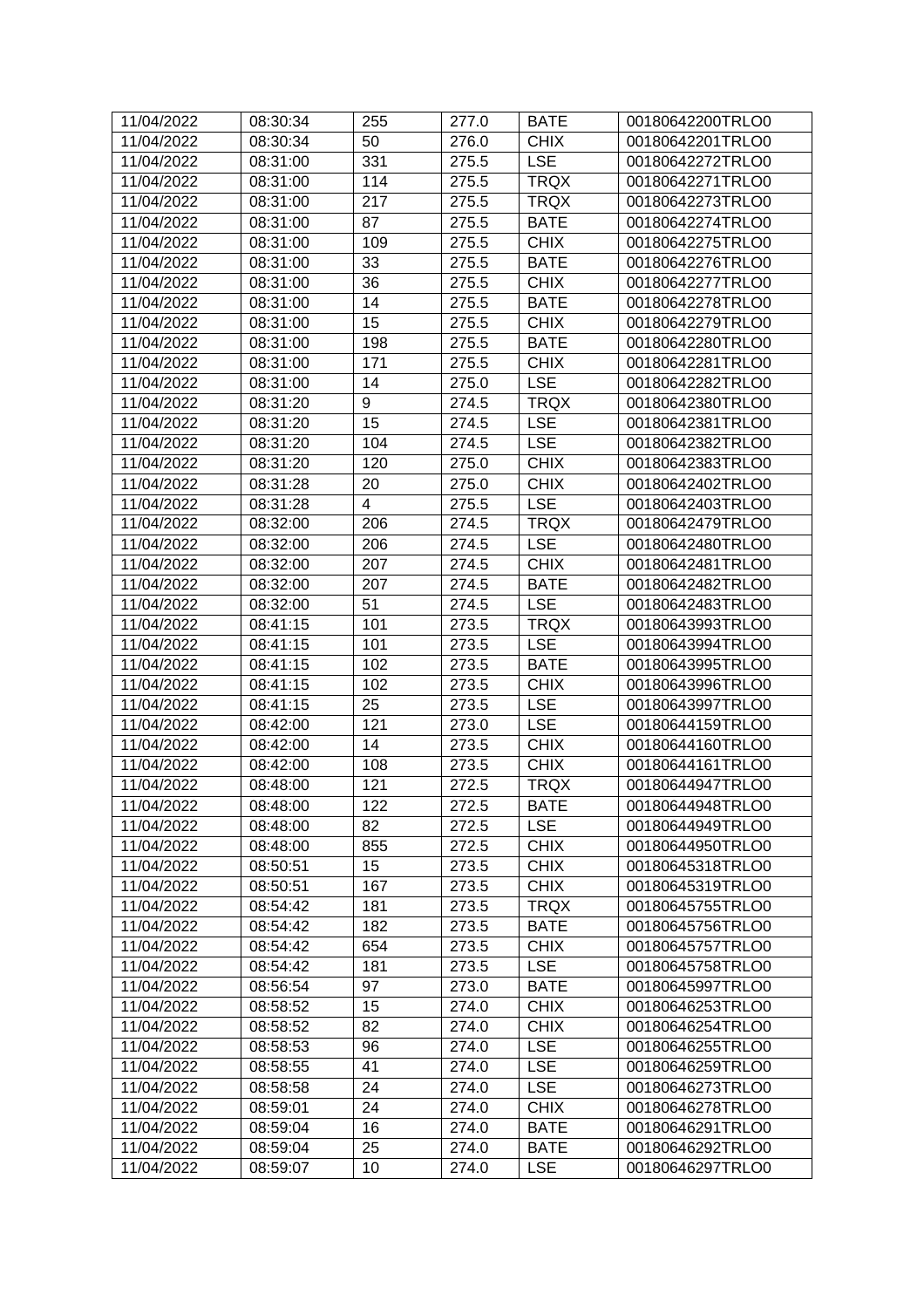| 11/04/2022               | 08:30:34             | 255        | 277.0          | <b>BATE</b>                | 00180642200TRLO0                     |
|--------------------------|----------------------|------------|----------------|----------------------------|--------------------------------------|
| 11/04/2022               | 08:30:34             | 50         | 276.0          | <b>CHIX</b>                | 00180642201TRLO0                     |
| 11/04/2022               | 08:31:00             | 331        | 275.5          | <b>LSE</b>                 | 00180642272TRLO0                     |
| 11/04/2022               | 08:31:00             | 114        | 275.5          | <b>TRQX</b>                | 00180642271TRLO0                     |
| 11/04/2022               | 08:31:00             | 217        | 275.5          | <b>TRQX</b>                | 00180642273TRLO0                     |
| 11/04/2022               | 08:31:00             | 87         | 275.5          | <b>BATE</b>                | 00180642274TRLO0                     |
| 11/04/2022               | 08:31:00             | 109        | 275.5          | <b>CHIX</b>                | 00180642275TRLO0                     |
| 11/04/2022               | 08:31:00             | 33         | 275.5          | <b>BATE</b>                | 00180642276TRLO0                     |
| 11/04/2022               | 08:31:00             | 36         | 275.5          | <b>CHIX</b>                | 00180642277TRLO0                     |
| 11/04/2022               | 08:31:00             | 14         | 275.5          | <b>BATE</b>                | 00180642278TRLO0                     |
| 11/04/2022               | 08:31:00             | 15         | 275.5          | <b>CHIX</b>                | 00180642279TRLO0                     |
| 11/04/2022               | 08:31:00             | 198        | 275.5          | <b>BATE</b>                | 00180642280TRLO0                     |
| 11/04/2022               | 08:31:00             | 171        | 275.5          | <b>CHIX</b>                | 00180642281TRLO0                     |
| 11/04/2022               | 08:31:00             | 14         | 275.0          | <b>LSE</b>                 | 00180642282TRLO0                     |
| 11/04/2022               | 08:31:20             | 9          | 274.5          | <b>TRQX</b>                | 00180642380TRLO0                     |
| 11/04/2022               | 08:31:20             | 15         | 274.5          | <b>LSE</b>                 | 00180642381TRLO0                     |
| 11/04/2022               | 08:31:20             | 104        | 274.5          | <b>LSE</b>                 | 00180642382TRLO0                     |
| 11/04/2022               | 08:31:20             | 120        | 275.0          | <b>CHIX</b>                | 00180642383TRLO0                     |
| 11/04/2022               | 08:31:28             | 20         | 275.0          | <b>CHIX</b>                | 00180642402TRLO0                     |
| 11/04/2022               | 08:31:28             | 4          | 275.5          | <b>LSE</b>                 | 00180642403TRLO0                     |
| 11/04/2022               | 08:32:00             | 206        | 274.5          | <b>TRQX</b>                | 00180642479TRLO0                     |
| 11/04/2022               |                      | 206        | 274.5          | <b>LSE</b>                 | 00180642480TRLO0                     |
|                          | 08:32:00             |            |                |                            | 00180642481TRLO0                     |
| 11/04/2022               | 08:32:00             | 207        | 274.5          | <b>CHIX</b>                |                                      |
| 11/04/2022               | 08:32:00             | 207        | 274.5          | <b>BATE</b>                | 00180642482TRLO0                     |
| 11/04/2022               | 08:32:00             | 51         | 274.5          | <b>LSE</b>                 | 00180642483TRLO0                     |
| 11/04/2022               | 08:41:15             | 101        | 273.5          | <b>TRQX</b>                | 00180643993TRLO0                     |
| 11/04/2022               | 08:41:15             | 101        | 273.5          | <b>LSE</b>                 | 00180643994TRLO0                     |
| 11/04/2022<br>11/04/2022 | 08:41:15<br>08:41:15 | 102<br>102 | 273.5<br>273.5 | <b>BATE</b><br><b>CHIX</b> | 00180643995TRLO0<br>00180643996TRLO0 |
| 11/04/2022               | 08:41:15             | 25         | 273.5          | <b>LSE</b>                 |                                      |
|                          | 08:42:00             | 121        |                | <b>LSE</b>                 | 00180643997TRLO0<br>00180644159TRLO0 |
| 11/04/2022<br>11/04/2022 |                      | 14         | 273.0          | <b>CHIX</b>                | 00180644160TRLO0                     |
| 11/04/2022               | 08:42:00             | 108        | 273.5<br>273.5 | <b>CHIX</b>                | 00180644161TRLO0                     |
| 11/04/2022               | 08:42:00             |            | 272.5          | <b>TRQX</b>                |                                      |
|                          | 08:48:00             | 121        |                |                            | 00180644947TRLO0                     |
| 11/04/2022               | 08:48:00             | 122        | 272.5          | <b>BATE</b>                | 00180644948TRLO0                     |
| 11/04/2022               | 08:48:00             | 82         | 272.5          | <b>LSE</b>                 | 00180644949TRLO0                     |
| 11/04/2022               | 08:48:00             | 855        | 272.5          | <b>CHIX</b>                | 00180644950TRLO0                     |
| 11/04/2022               | 08:50:51             | 15         | 273.5          | <b>CHIX</b>                | 00180645318TRLO0                     |
| 11/04/2022               | 08:50:51             | 167        | 273.5          | <b>CHIX</b><br><b>TRQX</b> | 00180645319TRLO0                     |
| 11/04/2022               | 08:54:42             | 181        | 273.5          |                            | 00180645755TRLO0                     |
| 11/04/2022               | 08:54:42             | 182        | 273.5          | <b>BATE</b>                | 00180645756TRLO0                     |
| 11/04/2022               | 08:54:42             | 654        | 273.5          | <b>CHIX</b>                | 00180645757TRLO0                     |
| 11/04/2022               | 08:54:42             | 181        | 273.5          | <b>LSE</b>                 | 00180645758TRLO0                     |
| 11/04/2022               | 08:56:54             | 97         | 273.0          | <b>BATE</b>                | 00180645997TRLO0                     |
| 11/04/2022               | 08:58:52             | 15         | 274.0          | <b>CHIX</b>                | 00180646253TRLO0                     |
| 11/04/2022               | 08:58:52             | 82         | 274.0          | <b>CHIX</b>                | 00180646254TRLO0                     |
| 11/04/2022               | 08:58:53             | 96         | 274.0          | <b>LSE</b>                 | 00180646255TRLO0                     |
| 11/04/2022               | 08:58:55             | 41         | 274.0          | <b>LSE</b>                 | 00180646259TRLO0                     |
| 11/04/2022               | 08:58:58             | 24         | 274.0          | <b>LSE</b>                 | 00180646273TRLO0                     |
| 11/04/2022               | 08:59:01             | 24         | 274.0          | <b>CHIX</b>                | 00180646278TRLO0                     |
| 11/04/2022               | 08:59:04             | 16         | 274.0          | <b>BATE</b>                | 00180646291TRLO0                     |
| 11/04/2022               | 08:59:04             | 25         | 274.0          | BATE                       | 00180646292TRLO0                     |
| 11/04/2022               | 08:59:07             | 10         | 274.0          | <b>LSE</b>                 | 00180646297TRLO0                     |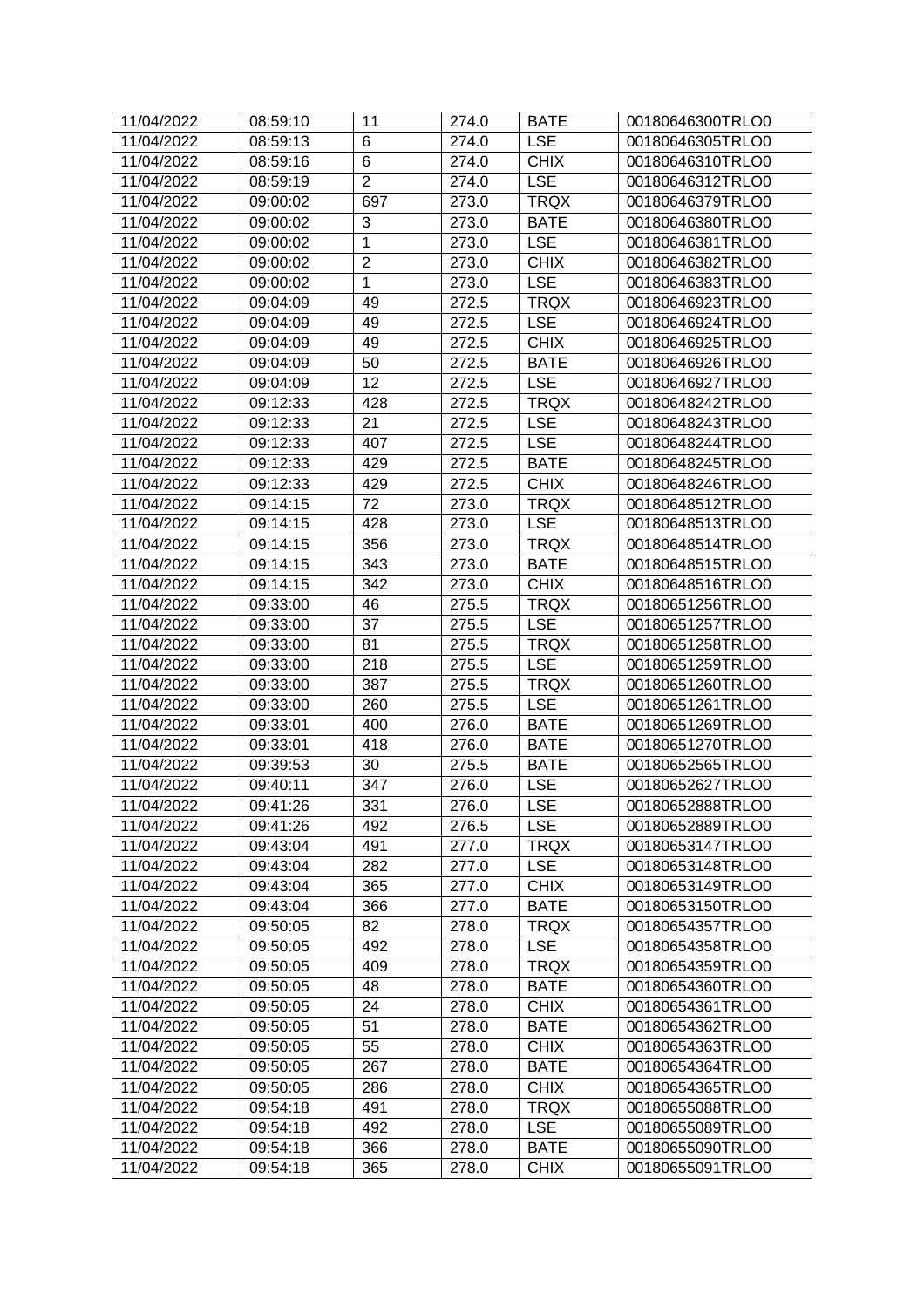| 11/04/2022 | 08:59:10 | 11             | 274.0 | <b>BATE</b> | 00180646300TRLO0 |
|------------|----------|----------------|-------|-------------|------------------|
| 11/04/2022 | 08:59:13 | 6              | 274.0 | <b>LSE</b>  | 00180646305TRLO0 |
| 11/04/2022 | 08:59:16 | 6              | 274.0 | <b>CHIX</b> | 00180646310TRLO0 |
| 11/04/2022 | 08:59:19 | $\overline{2}$ | 274.0 | <b>LSE</b>  | 00180646312TRLO0 |
| 11/04/2022 | 09:00:02 | 697            | 273.0 | <b>TRQX</b> | 00180646379TRLO0 |
| 11/04/2022 | 09:00:02 | 3              | 273.0 | <b>BATE</b> | 00180646380TRLO0 |
| 11/04/2022 | 09:00:02 | $\mathbf{1}$   | 273.0 | <b>LSE</b>  | 00180646381TRLO0 |
| 11/04/2022 | 09:00:02 | $\overline{2}$ | 273.0 | <b>CHIX</b> | 00180646382TRLO0 |
| 11/04/2022 | 09:00:02 | $\mathbf{1}$   | 273.0 | <b>LSE</b>  | 00180646383TRLO0 |
| 11/04/2022 | 09:04:09 | 49             | 272.5 | <b>TRQX</b> | 00180646923TRLO0 |
| 11/04/2022 | 09:04:09 | 49             | 272.5 | <b>LSE</b>  | 00180646924TRLO0 |
| 11/04/2022 | 09:04:09 | 49             | 272.5 | <b>CHIX</b> | 00180646925TRLO0 |
| 11/04/2022 | 09:04:09 | 50             | 272.5 | <b>BATE</b> | 00180646926TRLO0 |
| 11/04/2022 | 09:04:09 | 12             | 272.5 | <b>LSE</b>  | 00180646927TRLO0 |
| 11/04/2022 | 09:12:33 | 428            | 272.5 | <b>TRQX</b> | 00180648242TRLO0 |
| 11/04/2022 | 09:12:33 | 21             | 272.5 | <b>LSE</b>  | 00180648243TRLO0 |
| 11/04/2022 | 09:12:33 | 407            | 272.5 | <b>LSE</b>  | 00180648244TRLO0 |
| 11/04/2022 | 09:12:33 | 429            | 272.5 | <b>BATE</b> | 00180648245TRLO0 |
| 11/04/2022 | 09:12:33 | 429            | 272.5 | <b>CHIX</b> | 00180648246TRLO0 |
| 11/04/2022 | 09:14:15 | 72             | 273.0 | <b>TRQX</b> | 00180648512TRLO0 |
| 11/04/2022 | 09:14:15 | 428            | 273.0 | <b>LSE</b>  | 00180648513TRLO0 |
| 11/04/2022 | 09:14:15 | 356            | 273.0 | <b>TRQX</b> | 00180648514TRLO0 |
| 11/04/2022 | 09:14:15 | 343            | 273.0 | <b>BATE</b> | 00180648515TRLO0 |
| 11/04/2022 | 09:14:15 | 342            | 273.0 | <b>CHIX</b> | 00180648516TRLO0 |
| 11/04/2022 | 09:33:00 | 46             | 275.5 | <b>TRQX</b> | 00180651256TRLO0 |
| 11/04/2022 | 09:33:00 | 37             | 275.5 | <b>LSE</b>  | 00180651257TRLO0 |
| 11/04/2022 | 09:33:00 | 81             | 275.5 | <b>TRQX</b> | 00180651258TRLO0 |
| 11/04/2022 | 09:33:00 | 218            | 275.5 | <b>LSE</b>  | 00180651259TRLO0 |
| 11/04/2022 | 09:33:00 | 387            | 275.5 | <b>TRQX</b> | 00180651260TRLO0 |
| 11/04/2022 | 09:33:00 | 260            | 275.5 | <b>LSE</b>  | 00180651261TRLO0 |
| 11/04/2022 | 09:33:01 | 400            | 276.0 | <b>BATE</b> | 00180651269TRLO0 |
| 11/04/2022 | 09:33:01 | 418            | 276.0 | <b>BATE</b> | 00180651270TRLO0 |
| 11/04/2022 | 09:39:53 | 30             | 275.5 | <b>BATE</b> | 00180652565TRLO0 |
| 11/04/2022 | 09:40:11 | 347            | 276.0 | <b>LSE</b>  | 00180652627TRLO0 |
| 11/04/2022 | 09:41:26 | 331            | 276.0 | LSE         | 00180652888TRLO0 |
| 11/04/2022 | 09:41:26 | 492            | 276.5 | <b>LSE</b>  | 00180652889TRLO0 |
| 11/04/2022 | 09:43:04 | 491            | 277.0 | <b>TRQX</b> | 00180653147TRLO0 |
| 11/04/2022 | 09:43:04 | 282            | 277.0 | <b>LSE</b>  | 00180653148TRLO0 |
| 11/04/2022 | 09:43:04 | 365            | 277.0 | <b>CHIX</b> | 00180653149TRLO0 |
| 11/04/2022 | 09:43:04 | 366            | 277.0 | <b>BATE</b> | 00180653150TRLO0 |
| 11/04/2022 | 09:50:05 | 82             | 278.0 | <b>TRQX</b> | 00180654357TRLO0 |
| 11/04/2022 | 09:50:05 | 492            | 278.0 | <b>LSE</b>  | 00180654358TRLO0 |
| 11/04/2022 | 09:50:05 | 409            | 278.0 | <b>TRQX</b> | 00180654359TRLO0 |
| 11/04/2022 | 09:50:05 | 48             | 278.0 | <b>BATE</b> | 00180654360TRLO0 |
| 11/04/2022 | 09:50:05 | 24             | 278.0 | <b>CHIX</b> | 00180654361TRLO0 |
| 11/04/2022 | 09:50:05 | 51             | 278.0 | <b>BATE</b> | 00180654362TRLO0 |
| 11/04/2022 | 09:50:05 | 55             | 278.0 | <b>CHIX</b> | 00180654363TRLO0 |
| 11/04/2022 | 09:50:05 | 267            | 278.0 | <b>BATE</b> | 00180654364TRLO0 |
| 11/04/2022 | 09:50:05 | 286            | 278.0 | <b>CHIX</b> | 00180654365TRLO0 |
| 11/04/2022 | 09:54:18 | 491            | 278.0 | <b>TRQX</b> | 00180655088TRLO0 |
| 11/04/2022 | 09:54:18 | 492            | 278.0 | <b>LSE</b>  | 00180655089TRLO0 |
| 11/04/2022 | 09:54:18 | 366            | 278.0 | <b>BATE</b> | 00180655090TRLO0 |
| 11/04/2022 | 09:54:18 | 365            | 278.0 | <b>CHIX</b> | 00180655091TRLO0 |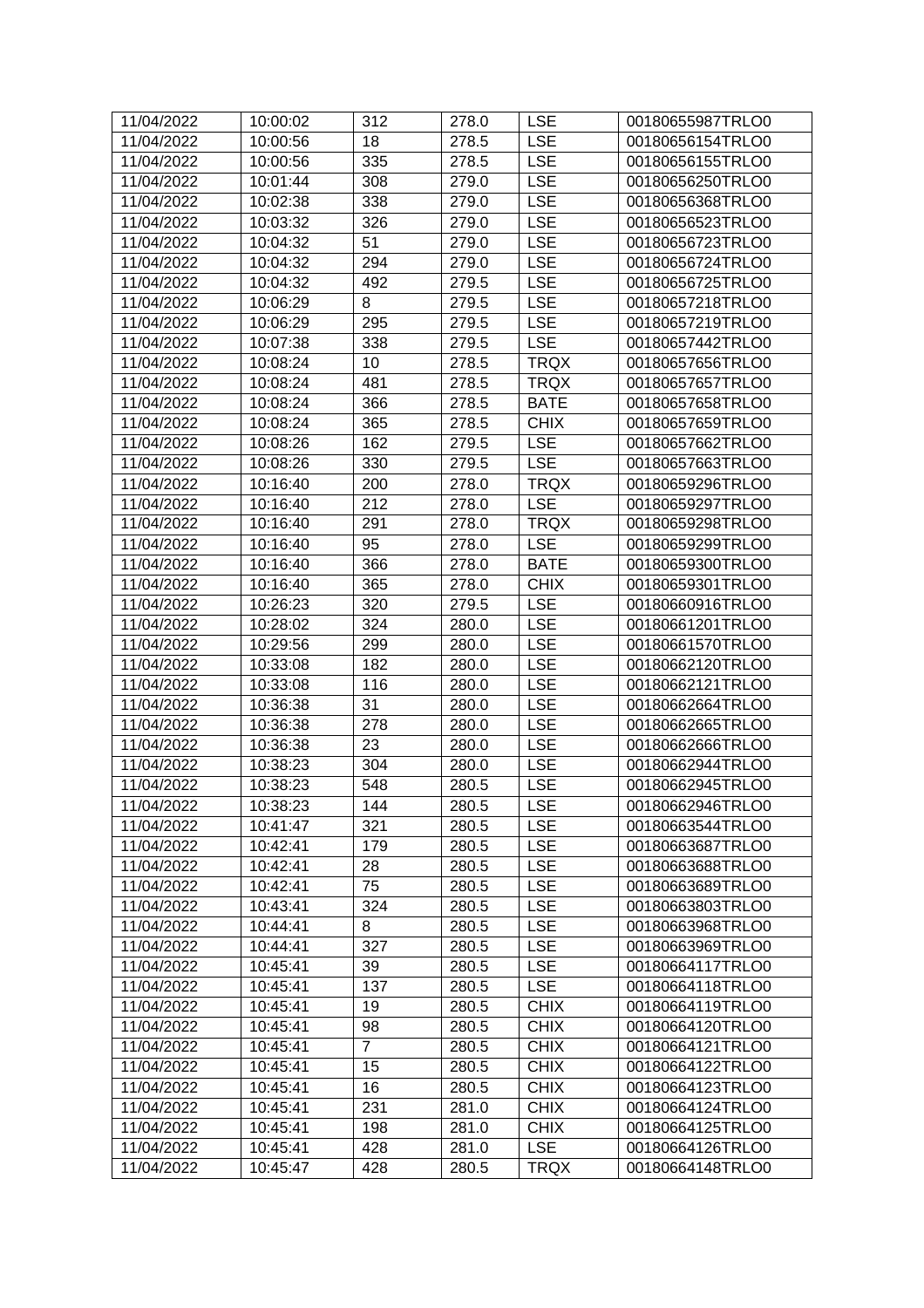| 11/04/2022 | 10:00:02 | 312            | 278.0 | <b>LSE</b>  | 00180655987TRLO0 |
|------------|----------|----------------|-------|-------------|------------------|
| 11/04/2022 | 10:00:56 | 18             | 278.5 | <b>LSE</b>  | 00180656154TRLO0 |
| 11/04/2022 | 10:00:56 | 335            | 278.5 | <b>LSE</b>  | 00180656155TRLO0 |
| 11/04/2022 | 10:01:44 | 308            | 279.0 | <b>LSE</b>  | 00180656250TRLO0 |
| 11/04/2022 | 10:02:38 | 338            | 279.0 | <b>LSE</b>  | 00180656368TRLO0 |
| 11/04/2022 | 10:03:32 | 326            | 279.0 | <b>LSE</b>  | 00180656523TRLO0 |
| 11/04/2022 | 10:04:32 | 51             | 279.0 | <b>LSE</b>  | 00180656723TRLO0 |
| 11/04/2022 | 10:04:32 | 294            | 279.0 | <b>LSE</b>  | 00180656724TRLO0 |
| 11/04/2022 | 10:04:32 | 492            | 279.5 | <b>LSE</b>  | 00180656725TRLO0 |
| 11/04/2022 | 10:06:29 | 8              | 279.5 | <b>LSE</b>  | 00180657218TRLO0 |
| 11/04/2022 | 10:06:29 | 295            | 279.5 | <b>LSE</b>  | 00180657219TRLO0 |
| 11/04/2022 | 10:07:38 | 338            | 279.5 | <b>LSE</b>  | 00180657442TRLO0 |
| 11/04/2022 | 10:08:24 | 10             | 278.5 | <b>TRQX</b> | 00180657656TRLO0 |
| 11/04/2022 | 10:08:24 | 481            | 278.5 | <b>TRQX</b> | 00180657657TRLO0 |
| 11/04/2022 | 10:08:24 | 366            | 278.5 | <b>BATE</b> | 00180657658TRLO0 |
| 11/04/2022 | 10:08:24 | 365            | 278.5 | <b>CHIX</b> | 00180657659TRLO0 |
| 11/04/2022 | 10:08:26 | 162            | 279.5 | <b>LSE</b>  | 00180657662TRLO0 |
| 11/04/2022 | 10:08:26 | 330            | 279.5 | <b>LSE</b>  | 00180657663TRLO0 |
| 11/04/2022 | 10:16:40 | 200            | 278.0 | <b>TRQX</b> | 00180659296TRLO0 |
| 11/04/2022 | 10:16:40 | 212            | 278.0 | <b>LSE</b>  | 00180659297TRLO0 |
| 11/04/2022 | 10:16:40 | 291            | 278.0 | <b>TRQX</b> | 00180659298TRLO0 |
| 11/04/2022 | 10:16:40 | 95             | 278.0 | <b>LSE</b>  | 00180659299TRLO0 |
| 11/04/2022 | 10:16:40 | 366            | 278.0 | <b>BATE</b> | 00180659300TRLO0 |
| 11/04/2022 | 10:16:40 | 365            | 278.0 | <b>CHIX</b> | 00180659301TRLO0 |
| 11/04/2022 | 10:26:23 | 320            | 279.5 | <b>LSE</b>  | 00180660916TRLO0 |
| 11/04/2022 | 10:28:02 | 324            | 280.0 | <b>LSE</b>  | 00180661201TRLO0 |
| 11/04/2022 | 10:29:56 | 299            | 280.0 | <b>LSE</b>  | 00180661570TRLO0 |
| 11/04/2022 | 10:33:08 | 182            | 280.0 | <b>LSE</b>  | 00180662120TRLO0 |
| 11/04/2022 | 10:33:08 | 116            | 280.0 | <b>LSE</b>  | 00180662121TRLO0 |
| 11/04/2022 | 10:36:38 | 31             | 280.0 | <b>LSE</b>  | 00180662664TRLO0 |
| 11/04/2022 | 10:36:38 | 278            | 280.0 | <b>LSE</b>  | 00180662665TRLO0 |
| 11/04/2022 | 10:36:38 | 23             | 280.0 | <b>LSE</b>  | 00180662666TRLO0 |
| 11/04/2022 | 10:38:23 | 304            | 280.0 | <b>LSE</b>  | 00180662944TRLO0 |
| 11/04/2022 | 10:38:23 | 548            | 280.5 | <b>LSE</b>  | 00180662945TRLO0 |
| 11/04/2022 | 10:38:23 | 144            | 280.5 | <b>LSE</b>  | 00180662946TRLO0 |
| 11/04/2022 | 10:41:47 | 321            | 280.5 | <b>LSE</b>  | 00180663544TRLO0 |
| 11/04/2022 | 10:42:41 | 179            | 280.5 | <b>LSE</b>  | 00180663687TRLO0 |
| 11/04/2022 | 10:42:41 | 28             | 280.5 | <b>LSE</b>  | 00180663688TRLO0 |
| 11/04/2022 | 10:42:41 | 75             | 280.5 | <b>LSE</b>  | 00180663689TRLO0 |
| 11/04/2022 | 10:43:41 | 324            | 280.5 | <b>LSE</b>  | 00180663803TRLO0 |
| 11/04/2022 | 10:44:41 | 8              | 280.5 | <b>LSE</b>  | 00180663968TRLO0 |
| 11/04/2022 | 10:44:41 | 327            | 280.5 | <b>LSE</b>  | 00180663969TRLO0 |
| 11/04/2022 | 10:45:41 | 39             | 280.5 | <b>LSE</b>  | 00180664117TRLO0 |
| 11/04/2022 | 10:45:41 | 137            | 280.5 | <b>LSE</b>  | 00180664118TRLO0 |
| 11/04/2022 | 10:45:41 | 19             | 280.5 | <b>CHIX</b> | 00180664119TRLO0 |
| 11/04/2022 | 10:45:41 | 98             | 280.5 | <b>CHIX</b> | 00180664120TRLO0 |
| 11/04/2022 | 10:45:41 | $\overline{7}$ | 280.5 | <b>CHIX</b> | 00180664121TRLO0 |
| 11/04/2022 | 10:45:41 | 15             | 280.5 | <b>CHIX</b> | 00180664122TRLO0 |
| 11/04/2022 | 10:45:41 | 16             | 280.5 | <b>CHIX</b> | 00180664123TRLO0 |
| 11/04/2022 | 10:45:41 | 231            | 281.0 | <b>CHIX</b> | 00180664124TRLO0 |
| 11/04/2022 | 10:45:41 | 198            | 281.0 | <b>CHIX</b> | 00180664125TRLO0 |
| 11/04/2022 | 10:45:41 | 428            | 281.0 | <b>LSE</b>  | 00180664126TRLO0 |
| 11/04/2022 | 10:45:47 | 428            | 280.5 | <b>TRQX</b> | 00180664148TRLO0 |
|            |          |                |       |             |                  |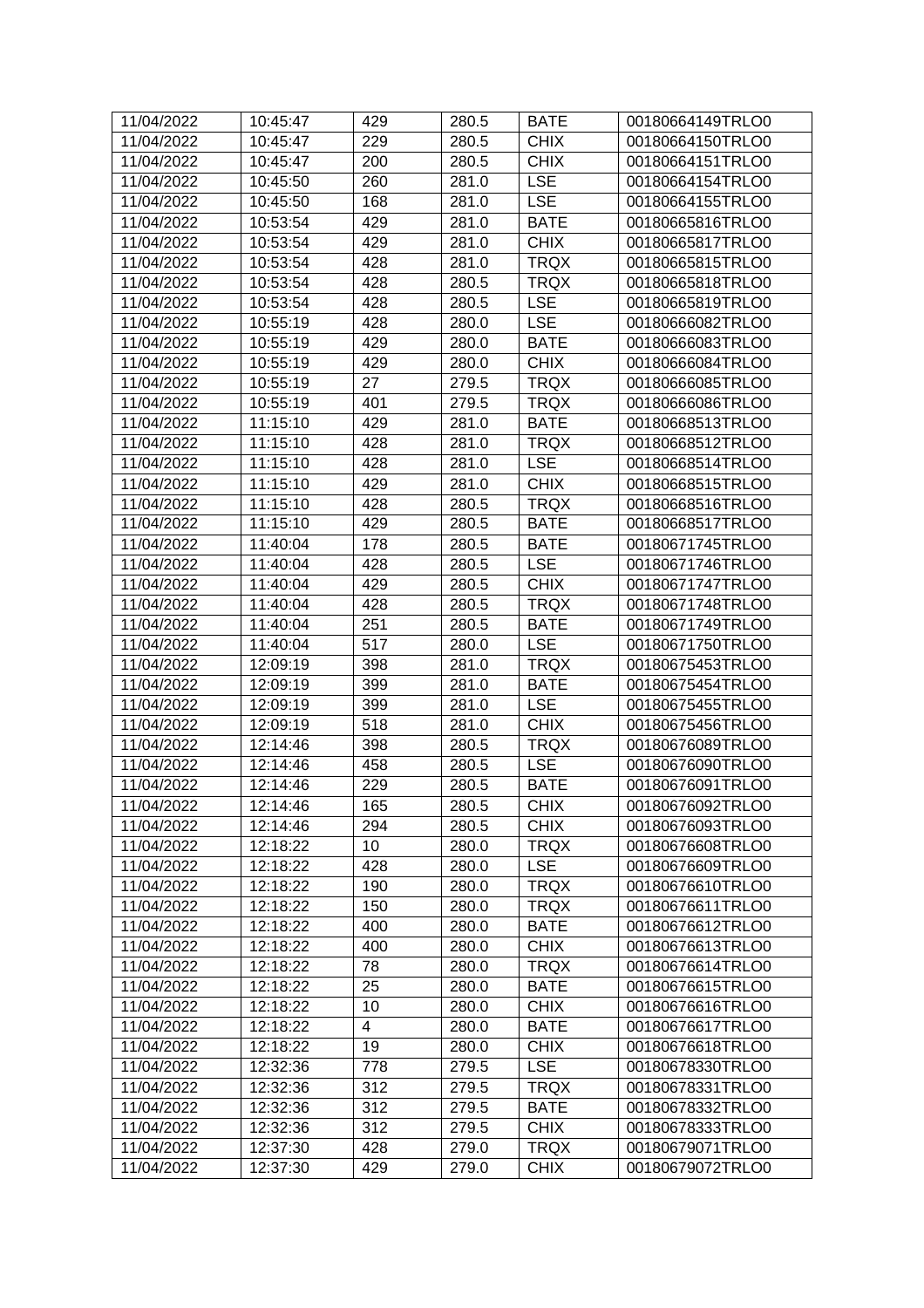| 11/04/2022 | 10:45:47 | 429 | 280.5 | <b>BATE</b> | 00180664149TRLO0 |
|------------|----------|-----|-------|-------------|------------------|
| 11/04/2022 | 10:45:47 | 229 | 280.5 | <b>CHIX</b> | 00180664150TRLO0 |
| 11/04/2022 | 10:45:47 | 200 | 280.5 | <b>CHIX</b> | 00180664151TRLO0 |
| 11/04/2022 | 10:45:50 | 260 | 281.0 | <b>LSE</b>  | 00180664154TRLO0 |
| 11/04/2022 | 10:45:50 | 168 | 281.0 | <b>LSE</b>  | 00180664155TRLO0 |
| 11/04/2022 | 10:53:54 | 429 | 281.0 | <b>BATE</b> | 00180665816TRLO0 |
| 11/04/2022 | 10:53:54 | 429 | 281.0 | <b>CHIX</b> | 00180665817TRLO0 |
| 11/04/2022 | 10:53:54 | 428 | 281.0 | <b>TRQX</b> | 00180665815TRLO0 |
| 11/04/2022 | 10:53:54 | 428 | 280.5 | <b>TRQX</b> | 00180665818TRLO0 |
| 11/04/2022 | 10:53:54 | 428 | 280.5 | <b>LSE</b>  | 00180665819TRLO0 |
| 11/04/2022 | 10:55:19 | 428 | 280.0 | <b>LSE</b>  | 00180666082TRLO0 |
| 11/04/2022 | 10:55:19 | 429 | 280.0 | <b>BATE</b> | 00180666083TRLO0 |
| 11/04/2022 | 10:55:19 | 429 | 280.0 | <b>CHIX</b> | 00180666084TRLO0 |
| 11/04/2022 | 10:55:19 | 27  | 279.5 | <b>TRQX</b> | 00180666085TRLO0 |
| 11/04/2022 | 10:55:19 | 401 | 279.5 | <b>TRQX</b> | 00180666086TRLO0 |
| 11/04/2022 | 11:15:10 | 429 | 281.0 | <b>BATE</b> | 00180668513TRLO0 |
| 11/04/2022 | 11:15:10 | 428 | 281.0 | <b>TRQX</b> | 00180668512TRLO0 |
| 11/04/2022 | 11:15:10 | 428 | 281.0 | <b>LSE</b>  | 00180668514TRLO0 |
| 11/04/2022 | 11:15:10 | 429 | 281.0 | <b>CHIX</b> | 00180668515TRLO0 |
| 11/04/2022 | 11:15:10 | 428 | 280.5 | <b>TRQX</b> | 00180668516TRLO0 |
| 11/04/2022 | 11:15:10 | 429 | 280.5 | <b>BATE</b> | 00180668517TRLO0 |
| 11/04/2022 | 11:40:04 | 178 | 280.5 | <b>BATE</b> | 00180671745TRLO0 |
| 11/04/2022 | 11:40:04 | 428 | 280.5 | <b>LSE</b>  | 00180671746TRLO0 |
| 11/04/2022 | 11:40:04 | 429 | 280.5 | <b>CHIX</b> | 00180671747TRLO0 |
| 11/04/2022 | 11:40:04 | 428 | 280.5 | <b>TRQX</b> | 00180671748TRLO0 |
| 11/04/2022 | 11:40:04 | 251 | 280.5 | <b>BATE</b> | 00180671749TRLO0 |
| 11/04/2022 | 11:40:04 | 517 | 280.0 | <b>LSE</b>  | 00180671750TRLO0 |
| 11/04/2022 | 12:09:19 | 398 | 281.0 | <b>TRQX</b> | 00180675453TRLO0 |
| 11/04/2022 | 12:09:19 | 399 | 281.0 | <b>BATE</b> | 00180675454TRLO0 |
| 11/04/2022 | 12:09:19 | 399 | 281.0 | <b>LSE</b>  | 00180675455TRLO0 |
| 11/04/2022 | 12:09:19 | 518 | 281.0 | <b>CHIX</b> | 00180675456TRLO0 |
| 11/04/2022 | 12:14:46 | 398 | 280.5 | <b>TRQX</b> | 00180676089TRLO0 |
| 11/04/2022 | 12:14:46 | 458 | 280.5 | <b>LSE</b>  | 00180676090TRLO0 |
| 11/04/2022 | 12:14:46 | 229 | 280.5 | <b>BATE</b> | 00180676091TRLO0 |
| 11/04/2022 | 12:14:46 | 165 | 280.5 | <b>CHIX</b> | 00180676092TRLO0 |
| 11/04/2022 | 12:14:46 | 294 | 280.5 | <b>CHIX</b> | 00180676093TRLO0 |
| 11/04/2022 | 12:18:22 | 10  | 280.0 | <b>TRQX</b> | 00180676608TRLO0 |
| 11/04/2022 | 12:18:22 | 428 | 280.0 | <b>LSE</b>  | 00180676609TRLO0 |
| 11/04/2022 | 12:18:22 | 190 | 280.0 | <b>TRQX</b> | 00180676610TRLO0 |
| 11/04/2022 | 12:18:22 | 150 | 280.0 | <b>TRQX</b> | 00180676611TRLO0 |
| 11/04/2022 | 12:18:22 | 400 | 280.0 | <b>BATE</b> | 00180676612TRLO0 |
| 11/04/2022 | 12:18:22 | 400 | 280.0 | <b>CHIX</b> | 00180676613TRLO0 |
| 11/04/2022 | 12:18:22 | 78  | 280.0 | <b>TRQX</b> | 00180676614TRLO0 |
| 11/04/2022 | 12:18:22 | 25  | 280.0 | <b>BATE</b> | 00180676615TRLO0 |
| 11/04/2022 | 12:18:22 | 10  | 280.0 | <b>CHIX</b> | 00180676616TRLO0 |
| 11/04/2022 | 12:18:22 | 4   | 280.0 | <b>BATE</b> | 00180676617TRLO0 |
| 11/04/2022 | 12:18:22 | 19  | 280.0 | <b>CHIX</b> | 00180676618TRLO0 |
| 11/04/2022 | 12:32:36 | 778 | 279.5 | <b>LSE</b>  | 00180678330TRLO0 |
| 11/04/2022 | 12:32:36 | 312 | 279.5 | <b>TRQX</b> | 00180678331TRLO0 |
| 11/04/2022 | 12:32:36 | 312 | 279.5 | <b>BATE</b> | 00180678332TRLO0 |
| 11/04/2022 | 12:32:36 | 312 | 279.5 | <b>CHIX</b> | 00180678333TRLO0 |
| 11/04/2022 | 12:37:30 | 428 | 279.0 | <b>TRQX</b> | 00180679071TRLO0 |
| 11/04/2022 | 12:37:30 | 429 | 279.0 | <b>CHIX</b> | 00180679072TRLO0 |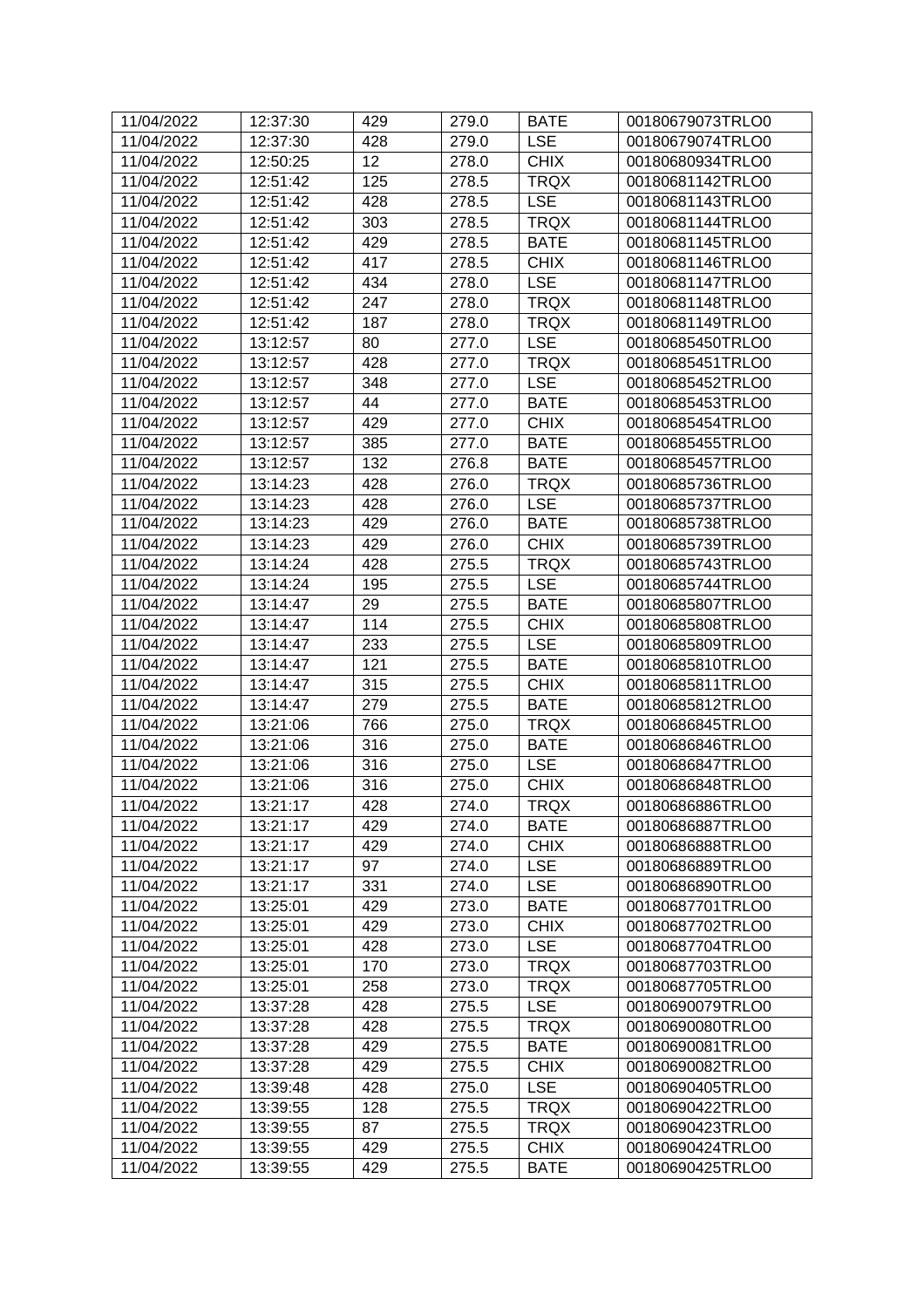| 11/04/2022 | 12:37:30 | 429 | 279.0 | <b>BATE</b> | 00180679073TRLO0 |
|------------|----------|-----|-------|-------------|------------------|
| 11/04/2022 | 12:37:30 | 428 | 279.0 | <b>LSE</b>  | 00180679074TRLO0 |
| 11/04/2022 | 12:50:25 | 12  | 278.0 | <b>CHIX</b> | 00180680934TRLO0 |
| 11/04/2022 | 12:51:42 | 125 | 278.5 | <b>TRQX</b> | 00180681142TRLO0 |
| 11/04/2022 | 12:51:42 | 428 | 278.5 | <b>LSE</b>  | 00180681143TRLO0 |
| 11/04/2022 | 12:51:42 | 303 | 278.5 | <b>TRQX</b> | 00180681144TRLO0 |
| 11/04/2022 | 12:51:42 | 429 | 278.5 | <b>BATE</b> | 00180681145TRLO0 |
| 11/04/2022 | 12:51:42 | 417 | 278.5 | <b>CHIX</b> | 00180681146TRLO0 |
| 11/04/2022 | 12:51:42 | 434 | 278.0 | <b>LSE</b>  | 00180681147TRLO0 |
| 11/04/2022 | 12:51:42 | 247 | 278.0 | <b>TRQX</b> | 00180681148TRLO0 |
| 11/04/2022 | 12:51:42 | 187 | 278.0 | <b>TRQX</b> | 00180681149TRLO0 |
| 11/04/2022 | 13:12:57 | 80  | 277.0 | <b>LSE</b>  | 00180685450TRLO0 |
| 11/04/2022 | 13:12:57 | 428 | 277.0 | <b>TRQX</b> | 00180685451TRLO0 |
| 11/04/2022 | 13:12:57 | 348 | 277.0 | <b>LSE</b>  | 00180685452TRLO0 |
| 11/04/2022 | 13:12:57 | 44  | 277.0 | <b>BATE</b> | 00180685453TRLO0 |
| 11/04/2022 | 13:12:57 | 429 | 277.0 | <b>CHIX</b> | 00180685454TRLO0 |
| 11/04/2022 | 13:12:57 | 385 | 277.0 | <b>BATE</b> | 00180685455TRLO0 |
| 11/04/2022 | 13:12:57 | 132 | 276.8 | <b>BATE</b> | 00180685457TRLO0 |
| 11/04/2022 | 13:14:23 | 428 | 276.0 | <b>TRQX</b> | 00180685736TRLO0 |
| 11/04/2022 | 13:14:23 | 428 | 276.0 | <b>LSE</b>  | 00180685737TRLO0 |
| 11/04/2022 | 13:14:23 | 429 | 276.0 | <b>BATE</b> | 00180685738TRLO0 |
| 11/04/2022 | 13:14:23 | 429 | 276.0 | <b>CHIX</b> | 00180685739TRLO0 |
| 11/04/2022 | 13:14:24 | 428 | 275.5 | <b>TRQX</b> | 00180685743TRLO0 |
| 11/04/2022 | 13:14:24 | 195 | 275.5 | <b>LSE</b>  | 00180685744TRLO0 |
| 11/04/2022 | 13:14:47 | 29  | 275.5 | <b>BATE</b> | 00180685807TRLO0 |
| 11/04/2022 | 13:14:47 | 114 | 275.5 | <b>CHIX</b> | 00180685808TRLO0 |
| 11/04/2022 | 13:14:47 | 233 | 275.5 | <b>LSE</b>  | 00180685809TRLO0 |
| 11/04/2022 | 13:14:47 | 121 | 275.5 | <b>BATE</b> | 00180685810TRLO0 |
| 11/04/2022 | 13:14:47 | 315 | 275.5 | <b>CHIX</b> | 00180685811TRLO0 |
| 11/04/2022 | 13:14:47 | 279 | 275.5 | <b>BATE</b> | 00180685812TRLO0 |
| 11/04/2022 | 13:21:06 | 766 | 275.0 | <b>TRQX</b> | 00180686845TRLO0 |
| 11/04/2022 | 13:21:06 | 316 | 275.0 | <b>BATE</b> | 00180686846TRLO0 |
| 11/04/2022 | 13:21:06 | 316 | 275.0 | <b>LSE</b>  | 00180686847TRLO0 |
| 11/04/2022 | 13:21:06 | 316 | 275.0 | <b>CHIX</b> | 00180686848TRLO0 |
| 11/04/2022 | 13:21:17 | 428 | 274.0 | <b>TRQX</b> | 00180686886TRLO0 |
| 11/04/2022 | 13:21:17 | 429 | 274.0 | <b>BATE</b> | 00180686887TRLO0 |
| 11/04/2022 | 13:21:17 | 429 | 274.0 | <b>CHIX</b> | 00180686888TRLO0 |
| 11/04/2022 | 13:21:17 | 97  | 274.0 | <b>LSE</b>  | 00180686889TRLO0 |
| 11/04/2022 | 13:21:17 | 331 | 274.0 | <b>LSE</b>  | 00180686890TRLO0 |
| 11/04/2022 | 13:25:01 | 429 | 273.0 | <b>BATE</b> | 00180687701TRLO0 |
| 11/04/2022 | 13:25:01 | 429 | 273.0 | <b>CHIX</b> | 00180687702TRLO0 |
| 11/04/2022 | 13:25:01 | 428 | 273.0 | <b>LSE</b>  | 00180687704TRLO0 |
| 11/04/2022 | 13:25:01 | 170 | 273.0 | <b>TRQX</b> | 00180687703TRLO0 |
| 11/04/2022 | 13:25:01 | 258 | 273.0 | <b>TRQX</b> | 00180687705TRLO0 |
| 11/04/2022 | 13:37:28 | 428 | 275.5 | <b>LSE</b>  | 00180690079TRLO0 |
| 11/04/2022 | 13:37:28 | 428 | 275.5 | <b>TRQX</b> | 00180690080TRLO0 |
| 11/04/2022 | 13:37:28 | 429 | 275.5 | <b>BATE</b> | 00180690081TRLO0 |
| 11/04/2022 | 13:37:28 | 429 | 275.5 | <b>CHIX</b> | 00180690082TRLO0 |
| 11/04/2022 | 13:39:48 | 428 | 275.0 | <b>LSE</b>  | 00180690405TRLO0 |
| 11/04/2022 | 13:39:55 | 128 | 275.5 | <b>TRQX</b> | 00180690422TRLO0 |
| 11/04/2022 | 13:39:55 | 87  | 275.5 | <b>TRQX</b> | 00180690423TRLO0 |
| 11/04/2022 | 13:39:55 | 429 | 275.5 | <b>CHIX</b> | 00180690424TRLO0 |
| 11/04/2022 | 13:39:55 | 429 | 275.5 | <b>BATE</b> | 00180690425TRLO0 |
|            |          |     |       |             |                  |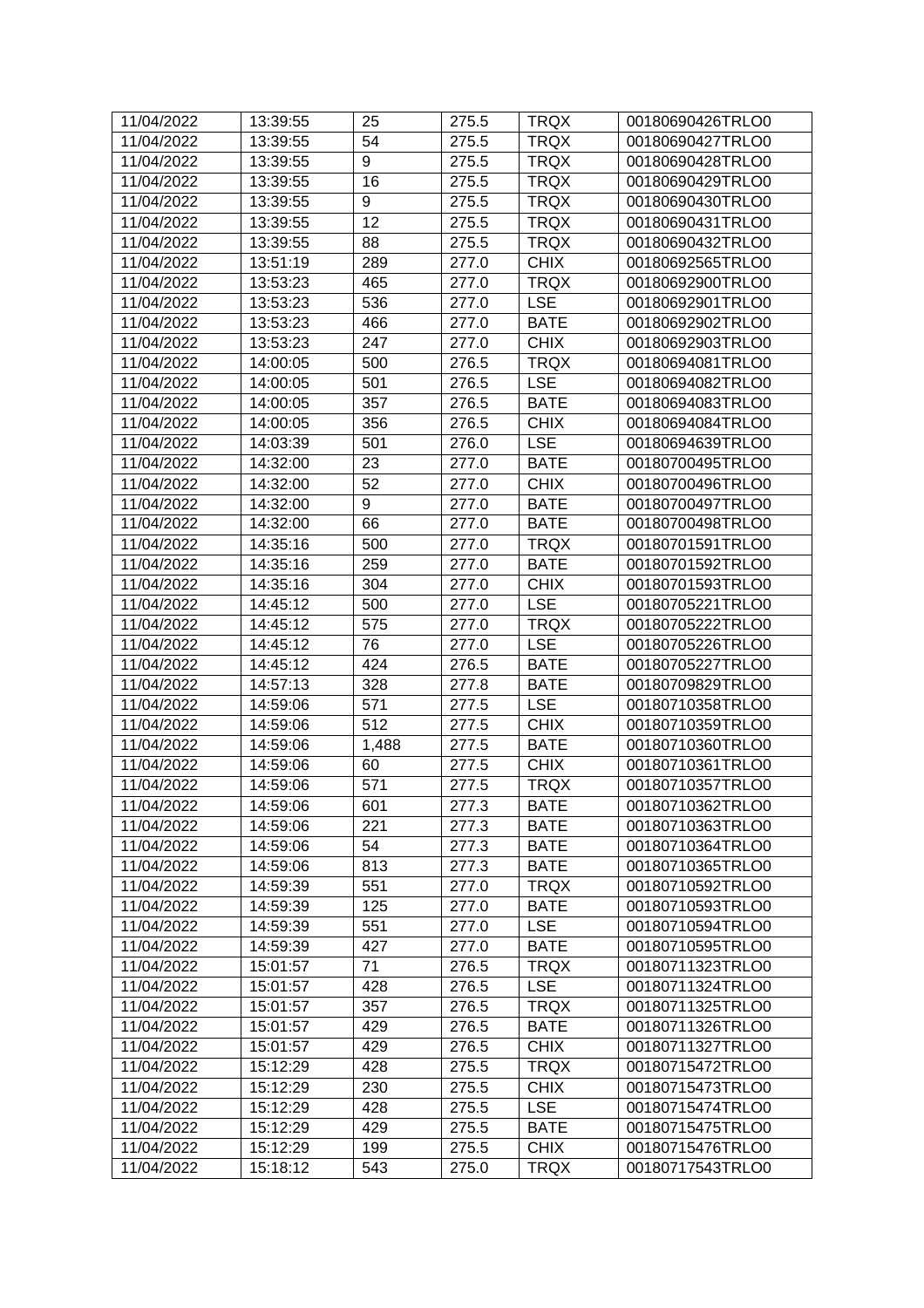| 11/04/2022 | 13:39:55 | 25               | 275.5 | <b>TRQX</b> | 00180690426TRLO0 |
|------------|----------|------------------|-------|-------------|------------------|
| 11/04/2022 | 13:39:55 | 54               | 275.5 | <b>TRQX</b> | 00180690427TRLO0 |
| 11/04/2022 | 13:39:55 | 9                | 275.5 | <b>TRQX</b> | 00180690428TRLO0 |
| 11/04/2022 | 13:39:55 | 16               | 275.5 | <b>TRQX</b> | 00180690429TRLO0 |
| 11/04/2022 | 13:39:55 | 9                | 275.5 | <b>TRQX</b> | 00180690430TRLO0 |
| 11/04/2022 | 13:39:55 | 12               | 275.5 | <b>TRQX</b> | 00180690431TRLO0 |
| 11/04/2022 | 13:39:55 | 88               | 275.5 | <b>TRQX</b> | 00180690432TRLO0 |
| 11/04/2022 | 13:51:19 | 289              | 277.0 | <b>CHIX</b> | 00180692565TRLO0 |
| 11/04/2022 | 13:53:23 | 465              | 277.0 | <b>TRQX</b> | 00180692900TRLO0 |
| 11/04/2022 | 13:53:23 | 536              | 277.0 | <b>LSE</b>  | 00180692901TRLO0 |
| 11/04/2022 | 13:53:23 | 466              | 277.0 | <b>BATE</b> | 00180692902TRLO0 |
| 11/04/2022 | 13:53:23 | 247              | 277.0 | <b>CHIX</b> | 00180692903TRLO0 |
| 11/04/2022 | 14:00:05 | 500              | 276.5 | <b>TRQX</b> | 00180694081TRLO0 |
| 11/04/2022 | 14:00:05 | 501              | 276.5 | <b>LSE</b>  | 00180694082TRLO0 |
| 11/04/2022 | 14:00:05 | 357              | 276.5 | <b>BATE</b> | 00180694083TRLO0 |
| 11/04/2022 | 14:00:05 | 356              | 276.5 | <b>CHIX</b> | 00180694084TRLO0 |
| 11/04/2022 | 14:03:39 | 501              | 276.0 | <b>LSE</b>  | 00180694639TRLO0 |
| 11/04/2022 | 14:32:00 | 23               | 277.0 | <b>BATE</b> | 00180700495TRLO0 |
| 11/04/2022 | 14:32:00 | 52               | 277.0 | <b>CHIX</b> | 00180700496TRLO0 |
| 11/04/2022 | 14:32:00 | $\boldsymbol{9}$ | 277.0 | <b>BATE</b> | 00180700497TRLO0 |
| 11/04/2022 | 14:32:00 | 66               | 277.0 | <b>BATE</b> | 00180700498TRLO0 |
| 11/04/2022 | 14:35:16 | 500              | 277.0 | <b>TRQX</b> | 00180701591TRLO0 |
| 11/04/2022 | 14:35:16 | 259              | 277.0 | <b>BATE</b> | 00180701592TRLO0 |
| 11/04/2022 | 14:35:16 | 304              | 277.0 | <b>CHIX</b> | 00180701593TRLO0 |
| 11/04/2022 | 14:45:12 | 500              | 277.0 | <b>LSE</b>  | 00180705221TRLO0 |
| 11/04/2022 | 14:45:12 | 575              | 277.0 | <b>TRQX</b> | 00180705222TRLO0 |
| 11/04/2022 | 14:45:12 | 76               | 277.0 | <b>LSE</b>  | 00180705226TRLO0 |
| 11/04/2022 | 14:45:12 | 424              | 276.5 | <b>BATE</b> | 00180705227TRLO0 |
| 11/04/2022 | 14:57:13 | 328              | 277.8 | <b>BATE</b> | 00180709829TRLO0 |
| 11/04/2022 | 14:59:06 | 571              | 277.5 | <b>LSE</b>  | 00180710358TRLO0 |
| 11/04/2022 | 14:59:06 | 512              | 277.5 | <b>CHIX</b> | 00180710359TRLO0 |
| 11/04/2022 | 14:59:06 | 1,488            | 277.5 | <b>BATE</b> | 00180710360TRLO0 |
| 11/04/2022 | 14:59:06 | 60               | 277.5 | <b>CHIX</b> | 00180710361TRLO0 |
| 11/04/2022 | 14:59:06 | 571              | 277.5 | <b>TRQX</b> | 00180710357TRLO0 |
| 11/04/2022 | 14:59:06 | 601              | 277.3 | <b>BATE</b> | 00180710362TRLO0 |
| 11/04/2022 | 14:59:06 | 221              | 277.3 | <b>BATE</b> | 00180710363TRLO0 |
| 11/04/2022 | 14:59:06 | 54               | 277.3 | <b>BATE</b> | 00180710364TRLO0 |
| 11/04/2022 | 14:59:06 | 813              | 277.3 | <b>BATE</b> | 00180710365TRLO0 |
| 11/04/2022 | 14:59:39 | 551              | 277.0 | <b>TRQX</b> | 00180710592TRLO0 |
| 11/04/2022 | 14:59:39 | 125              | 277.0 | <b>BATE</b> | 00180710593TRLO0 |
| 11/04/2022 | 14:59:39 | 551              | 277.0 | <b>LSE</b>  | 00180710594TRLO0 |
| 11/04/2022 | 14:59:39 | 427              | 277.0 | <b>BATE</b> | 00180710595TRLO0 |
| 11/04/2022 | 15:01:57 | 71               | 276.5 | <b>TRQX</b> | 00180711323TRLO0 |
| 11/04/2022 | 15:01:57 | 428              | 276.5 | <b>LSE</b>  | 00180711324TRLO0 |
| 11/04/2022 | 15:01:57 | 357              | 276.5 | <b>TRQX</b> | 00180711325TRLO0 |
| 11/04/2022 | 15:01:57 | 429              | 276.5 | <b>BATE</b> | 00180711326TRLO0 |
| 11/04/2022 | 15:01:57 | 429              | 276.5 | <b>CHIX</b> | 00180711327TRLO0 |
| 11/04/2022 | 15:12:29 | 428              | 275.5 | <b>TRQX</b> | 00180715472TRLO0 |
| 11/04/2022 | 15:12:29 | 230              | 275.5 | <b>CHIX</b> | 00180715473TRLO0 |
| 11/04/2022 | 15:12:29 | 428              | 275.5 | <b>LSE</b>  | 00180715474TRLO0 |
| 11/04/2022 | 15:12:29 | 429              | 275.5 | <b>BATE</b> | 00180715475TRLO0 |
| 11/04/2022 | 15:12:29 | 199              | 275.5 | <b>CHIX</b> | 00180715476TRLO0 |
| 11/04/2022 | 15:18:12 | 543              | 275.0 | <b>TRQX</b> | 00180717543TRLO0 |
|            |          |                  |       |             |                  |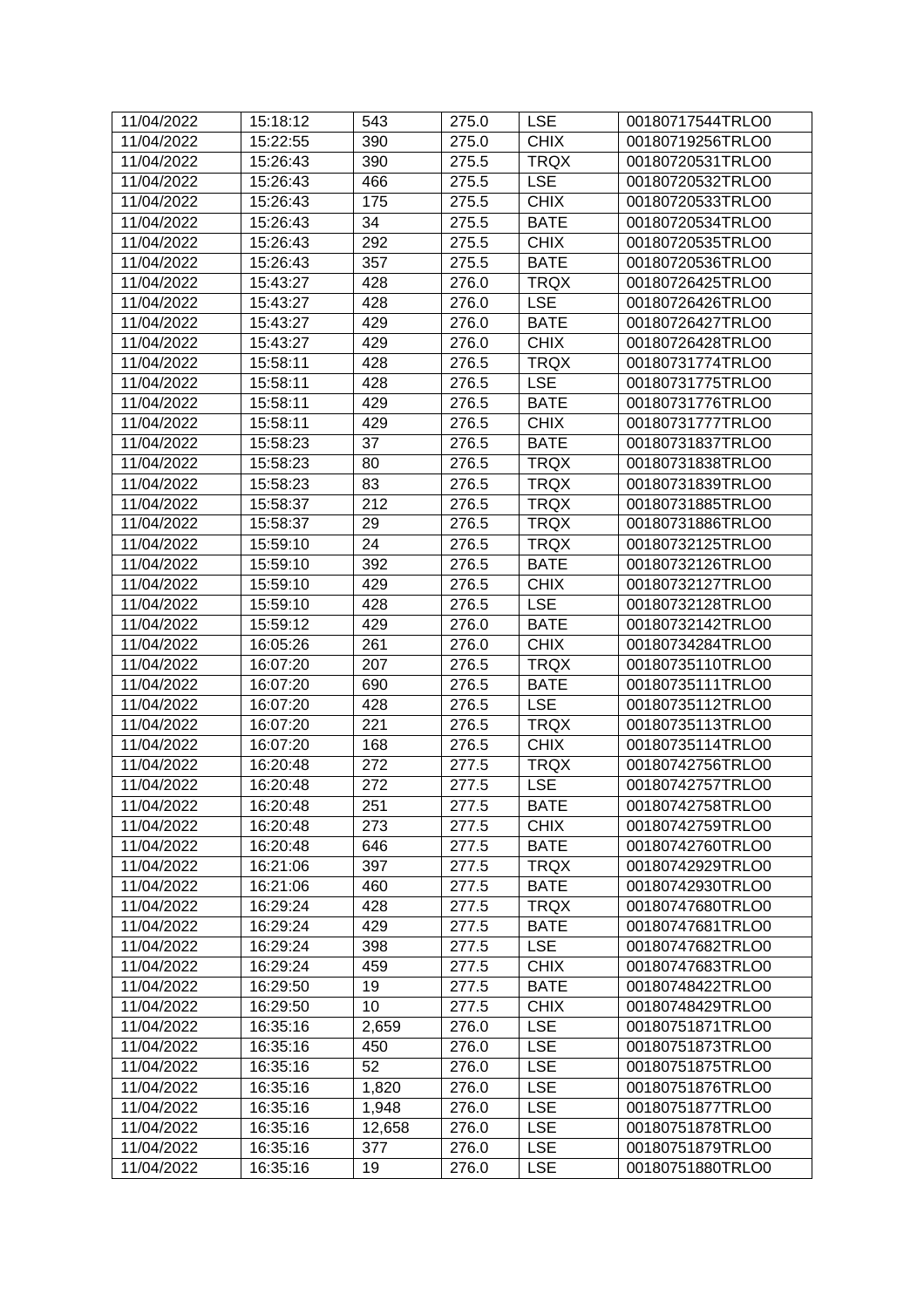| 11/04/2022 | 15:18:12 | 543              | 275.0 | <b>LSE</b>  | 00180717544TRLO0 |
|------------|----------|------------------|-------|-------------|------------------|
| 11/04/2022 | 15:22:55 | 390              | 275.0 | <b>CHIX</b> | 00180719256TRLO0 |
| 11/04/2022 | 15:26:43 | 390              | 275.5 | <b>TRQX</b> | 00180720531TRLO0 |
| 11/04/2022 | 15:26:43 | 466              | 275.5 | <b>LSE</b>  | 00180720532TRLO0 |
| 11/04/2022 | 15:26:43 | 175              | 275.5 | <b>CHIX</b> | 00180720533TRLO0 |
| 11/04/2022 | 15:26:43 | 34               | 275.5 | <b>BATE</b> | 00180720534TRLO0 |
| 11/04/2022 | 15:26:43 | 292              | 275.5 | <b>CHIX</b> | 00180720535TRLO0 |
| 11/04/2022 | 15:26:43 | 357              | 275.5 | <b>BATE</b> | 00180720536TRLO0 |
| 11/04/2022 | 15:43:27 | 428              | 276.0 | <b>TRQX</b> | 00180726425TRLO0 |
| 11/04/2022 | 15:43:27 | 428              | 276.0 | <b>LSE</b>  | 00180726426TRLO0 |
| 11/04/2022 | 15:43:27 | 429              | 276.0 | <b>BATE</b> | 00180726427TRLO0 |
| 11/04/2022 | 15:43:27 | 429              | 276.0 | <b>CHIX</b> | 00180726428TRLO0 |
| 11/04/2022 | 15:58:11 | 428              | 276.5 | <b>TRQX</b> | 00180731774TRLO0 |
| 11/04/2022 | 15:58:11 | 428              | 276.5 | <b>LSE</b>  | 00180731775TRLO0 |
| 11/04/2022 | 15:58:11 | 429              | 276.5 | <b>BATE</b> | 00180731776TRLO0 |
| 11/04/2022 | 15:58:11 | 429              | 276.5 | <b>CHIX</b> | 00180731777TRLO0 |
| 11/04/2022 | 15:58:23 | 37               | 276.5 | <b>BATE</b> | 00180731837TRLO0 |
| 11/04/2022 | 15:58:23 | 80               | 276.5 | <b>TRQX</b> | 00180731838TRLO0 |
| 11/04/2022 | 15:58:23 | 83               | 276.5 | <b>TRQX</b> | 00180731839TRLO0 |
| 11/04/2022 | 15:58:37 | 212              | 276.5 | <b>TRQX</b> | 00180731885TRLO0 |
| 11/04/2022 | 15:58:37 | 29               | 276.5 | <b>TRQX</b> | 00180731886TRLO0 |
| 11/04/2022 | 15:59:10 | 24               | 276.5 | <b>TRQX</b> | 00180732125TRLO0 |
| 11/04/2022 | 15:59:10 | 392              | 276.5 | <b>BATE</b> | 00180732126TRLO0 |
| 11/04/2022 | 15:59:10 | 429              | 276.5 | <b>CHIX</b> | 00180732127TRLO0 |
| 11/04/2022 | 15:59:10 | 428              | 276.5 | <b>LSE</b>  | 00180732128TRLO0 |
| 11/04/2022 | 15:59:12 | 429              | 276.0 | <b>BATE</b> | 00180732142TRLO0 |
| 11/04/2022 | 16:05:26 | 261              | 276.0 | <b>CHIX</b> | 00180734284TRLO0 |
| 11/04/2022 | 16:07:20 | 207              | 276.5 | <b>TRQX</b> | 00180735110TRLO0 |
| 11/04/2022 | 16:07:20 | 690              | 276.5 | <b>BATE</b> | 00180735111TRLO0 |
| 11/04/2022 | 16:07:20 | 428              | 276.5 | <b>LSE</b>  | 00180735112TRLO0 |
| 11/04/2022 | 16:07:20 | 221              | 276.5 | <b>TRQX</b> | 00180735113TRLO0 |
| 11/04/2022 | 16:07:20 | 168              | 276.5 | <b>CHIX</b> | 00180735114TRLO0 |
| 11/04/2022 | 16:20:48 | 272              | 277.5 | <b>TRQX</b> | 00180742756TRLO0 |
| 11/04/2022 | 16:20:48 | $\overline{272}$ | 277.5 | <b>LSE</b>  | 00180742757TRLO0 |
| 11/04/2022 | 16:20:48 | 251              | 277.5 | <b>BATE</b> | 00180742758TRLO0 |
| 11/04/2022 | 16:20:48 | 273              | 277.5 | <b>CHIX</b> | 00180742759TRLO0 |
| 11/04/2022 | 16:20:48 | 646              | 277.5 | <b>BATE</b> | 00180742760TRLO0 |
| 11/04/2022 | 16:21:06 | 397              | 277.5 | <b>TRQX</b> | 00180742929TRLO0 |
| 11/04/2022 | 16:21:06 | 460              | 277.5 | <b>BATE</b> | 00180742930TRLO0 |
| 11/04/2022 | 16:29:24 | 428              | 277.5 | <b>TRQX</b> | 00180747680TRLO0 |
| 11/04/2022 | 16:29:24 | 429              | 277.5 | <b>BATE</b> | 00180747681TRLO0 |
| 11/04/2022 | 16:29:24 | 398              | 277.5 | <b>LSE</b>  | 00180747682TRLO0 |
| 11/04/2022 | 16:29:24 | 459              | 277.5 | <b>CHIX</b> | 00180747683TRLO0 |
| 11/04/2022 | 16:29:50 | 19               | 277.5 | <b>BATE</b> | 00180748422TRLO0 |
| 11/04/2022 | 16:29:50 | 10               | 277.5 | <b>CHIX</b> | 00180748429TRLO0 |
| 11/04/2022 | 16:35:16 | 2,659            | 276.0 | <b>LSE</b>  | 00180751871TRLO0 |
| 11/04/2022 | 16:35:16 | 450              | 276.0 | <b>LSE</b>  | 00180751873TRLO0 |
| 11/04/2022 | 16:35:16 | 52               | 276.0 | <b>LSE</b>  | 00180751875TRLO0 |
| 11/04/2022 | 16:35:16 | 1,820            | 276.0 | <b>LSE</b>  | 00180751876TRLO0 |
| 11/04/2022 | 16:35:16 | 1,948            | 276.0 | <b>LSE</b>  | 00180751877TRLO0 |
| 11/04/2022 | 16:35:16 | 12,658           | 276.0 | <b>LSE</b>  | 00180751878TRLO0 |
| 11/04/2022 | 16:35:16 | 377              | 276.0 | <b>LSE</b>  | 00180751879TRLO0 |
| 11/04/2022 | 16:35:16 | 19               | 276.0 | <b>LSE</b>  | 00180751880TRLO0 |
|            |          |                  |       |             |                  |